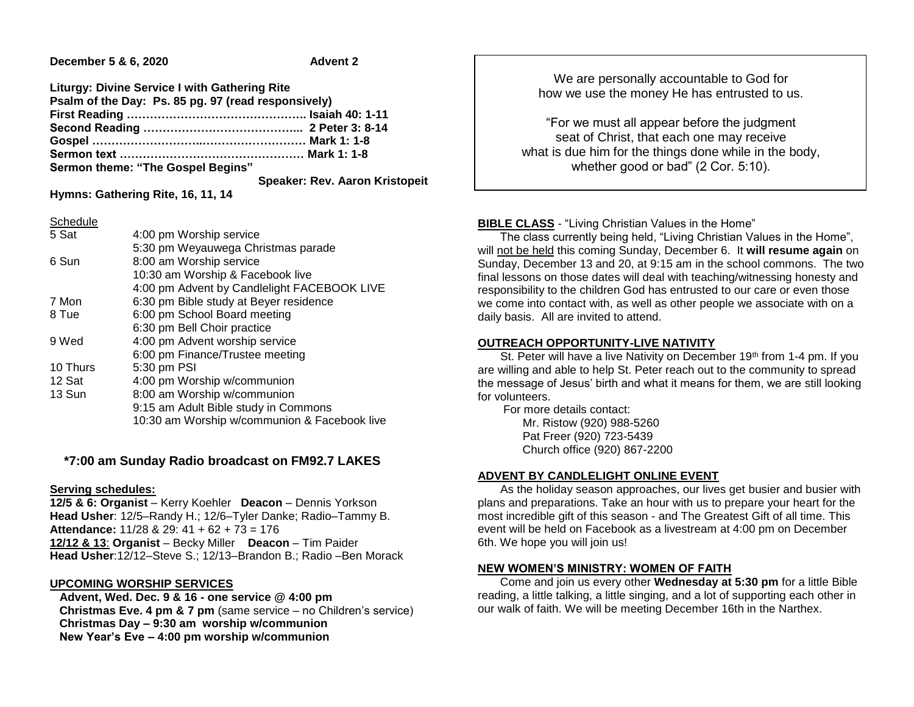**December 5 & 6, 2020 Advent 2** 

| <b>Liturgy: Divine Service I with Gathering Rite</b> |                                       |
|------------------------------------------------------|---------------------------------------|
| Psalm of the Day: Ps. 85 pg. 97 (read responsively)  |                                       |
|                                                      |                                       |
|                                                      |                                       |
|                                                      |                                       |
|                                                      |                                       |
| Sermon theme: "The Gospel Begins"                    |                                       |
|                                                      | <b>Speaker: Rev. Aaron Kristopeit</b> |

**Hymns: Gathering Rite, 16, 11, 14**

Schedule

| <u>ovinuuru</u> |                         |
|-----------------|-------------------------|
| 5 Sat           | 4:00 pm Worship service |

|          | 5:30 pm Weyauwega Christmas parade           |
|----------|----------------------------------------------|
| 6 Sun    | 8:00 am Worship service                      |
|          | 10:30 am Worship & Facebook live             |
|          | 4:00 pm Advent by Candlelight FACEBOOK LIVE  |
| 7 Mon    | 6:30 pm Bible study at Beyer residence       |
| 8 Tue    | 6:00 pm School Board meeting                 |
|          | 6:30 pm Bell Choir practice                  |
| 9 Wed    | 4:00 pm Advent worship service               |
|          | 6:00 pm Finance/Trustee meeting              |
| 10 Thurs | 5:30 pm PSI                                  |
| 12 Sat   | 4:00 pm Worship w/communion                  |
| 13 Sun   | 8:00 am Worship w/communion                  |
|          | 9:15 am Adult Bible study in Commons         |
|          | 10:30 am Worship w/communion & Facebook live |

# **\*7:00 am Sunday Radio broadcast on FM92.7 LAKES**

#### **Serving schedules:**

**12/5 & 6: Organist** – Kerry Koehler **Deacon** – Dennis Yorkson **Head Usher**: 12/5–Randy H.; 12/6–Tyler Danke; Radio–Tammy B. **Attendance:** 11/28 & 29: 41 + 62 + 73 = 176 **12/12 & 13**: **Organist** – Becky Miller **Deacon** – Tim Paider **Head Usher**:12/12–Steve S.; 12/13–Brandon B.; Radio –Ben Morack

### **UPCOMING WORSHIP SERVICES**

 **Advent, Wed. Dec. 9 & 16 - one service @ 4:00 pm Christmas Eve. 4 pm & 7 pm** (same service – no Children's service) **Christmas Day – 9:30 am worship w/communion New Year's Eve – 4:00 pm worship w/communion**

We are personally accountable to God for how we use the money He has entrusted to us.

"For we must all appear before the judgment seat of Christ, that each one may receive what is due him for the things done while in the body, whether good or bad" (2 Cor. 5:10).

# **BIBLE CLASS** - "Living Christian Values in the Home"

 The class currently being held, "Living Christian Values in the Home", will not be held this coming Sunday, December 6. It **will resume again** on Sunday, December 13 and 20, at 9:15 am in the school commons. The two final lessons on those dates will deal with teaching/witnessing honesty and responsibility to the children God has entrusted to our care or even those we come into contact with, as well as other people we associate with on a daily basis. All are invited to attend.

### **OUTREACH OPPORTUNITY-LIVE NATIVITY**

St. Peter will have a live Nativity on December 19<sup>th</sup> from 1-4 pm. If you are willing and able to help St. Peter reach out to the community to spread the message of Jesus' birth and what it means for them, we are still looking for volunteers.

 For more details contact: Mr. Ristow (920) 988-5260 Pat Freer (920) 723-5439 Church office (920) 867-2200

# **ADVENT BY CANDLELIGHT ONLINE EVENT**

 As the holiday season approaches, our lives get busier and busier with plans and preparations. Take an hour with us to prepare your heart for the most incredible gift of this season - and The Greatest Gift of all time. This event will be held on Facebook as a livestream at 4:00 pm on December 6th. We hope you will join us!

# **NEW WOMEN'S MINISTRY: WOMEN OF FAITH**

 Come and join us every other **Wednesday at 5:30 pm** for a little Bible reading, a little talking, a little singing, and a lot of supporting each other in our walk of faith. We will be meeting December 16th in the Narthex.